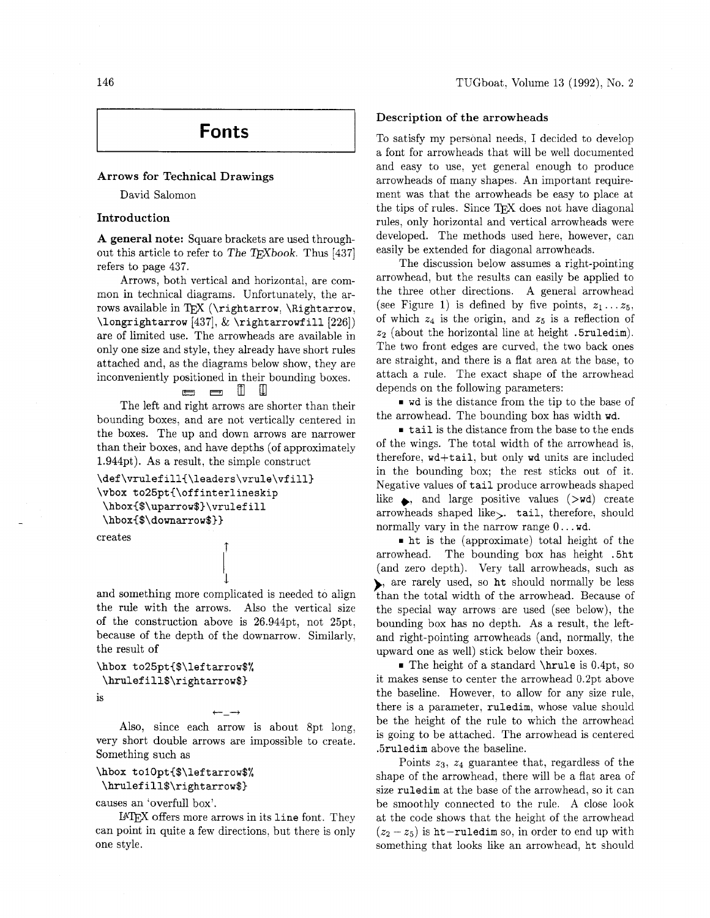# **Fonts**

#### **Arrows for Technical Drawings**

David Salomon

#### **Introduction**

**A general note:** Square brackets are used throughout this article to refer to The T<sub>F</sub>Xbook. Thus [437] refers to page 437.

Arrows, both vertical and horizontal, are common in technical diagrams. Unfortunately, the arrows available in TEX ( $\rightarrow$ ,  $\rightarrow$ ,  $\rightarrow$ ,  $\rightarrow$ ,  $\rightarrow$ ,  $\rightarrow$ ,  $\rightarrow$ ,  $\rightarrow$ ,  $\rightarrow$ ,  $\rightarrow$ ,  $\rightarrow$ ,  $\rightarrow$ ,  $\rightarrow$ ,  $\rightarrow$ ,  $\rightarrow$ ,  $\rightarrow$ ,  $\rightarrow$ ,  $\rightarrow$ ,  $\rightarrow$ ,  $\rightarrow$ ,  $\rightarrow$ ,  $\rightarrow$ ,  $\rightarrow$ ,  $\rightarrow$ ,  $\rightarrow$ ,  $\rightarrow$ ,  $\rightarrow$ ,  $\rightarrow$ ,  $\rightarrow$ ,  $\rightarrow$ ,  $\rightarrow$ ,  $\rightarrow$ ,  $\rightarrow$ ,  $\langle$ longrightarrow [437],  $\&$  \rightarrowfill [226]) are of limited use. The arrowheads are available in only one size and style, they already have short rules attached and, as the diagrams below show, they are inconveniently positioned in their bounding boxes.

#### $\overline{ }$  $\rightarrow$ m m

The left and right arrows are shorter than their bounding boxes, and are not vertically centered in the boxes. The up and down arrows are narrower than their boxes, and have depths (of approximately 1.944pt). As a result, the simple construct

```
\def\vrulefill{\leaders\vrule\vfill) 
\vbox to25pt(\offinterlineskip 
\hboxC$\uparrow$)\vrulef ill 
\hbox{$\downarrow$}}
```
creates

and something more complicated is needed to align the rule with the arrows. Also the vertical size of the construction above is 26.944pt, not 25pt, because of the depth of the downarrow. Similarly, the result of

 $\downarrow$ 

```
\hbox to25pt{$\leftarrow$% 
\hrulefill$\rightarrow$)
```
is

Also, since each arrow is about 8pt long, very short double arrows are impossible to create. Something such as

 $\leftarrow$   $\lnot$ 

# \hbox tolOpt{\$\leftarrow\$%

## **\hrulefill\$\rightarrow\$)**

causes an 'overfull box'.

LATEX offers more arrows in its line font. They can point in quite a few directions, but there is only one style.

#### **Description of the arrowheads**

To satisfy my personal needs. I decided to develop a font for arrowheads that will be well documented and easy to use, yet general enough to produce arrowheads of many shapes. An important requirement was that the arrowheads be easy to place at the tips of rules. Since  $T_{\text{F}}X$  does not have diagonal rules, only horizontal and vertical arrowheads were developed. The methods used here, however, can easily be extended for diagonal arrowheads.

The discussion below assumes a right-pointing arrowhead, but the results can easily be applied to the three other directions. A general arrowhead (see Figure 1) is defined by five points,  $z_1 \ldots z_5$ , of which  $z_4$  is the origin, and  $z_5$  is a reflection of  $z_2$  (about the horizontal line at height .5ruledim). The two front edges are curved, the two back ones are straight, and there is a flat area at the base, to attach a rule. The exact shape of the arrowhead depends on the following parameters:

wd is the distance from the tip to the base of the arrowhead. The bounding box has width wd.

tail is the distance from the base to the ends of the wings. The total width of the arrowhead is, therefore, wd-ftail, but only wd units are included in the bounding box; the rest sticks out of it. Negative values of tail produce arrowheads shaped like  $\bullet$ , and large positive values ( $\rightarrow$ wd) create arrowheads shaped like>. tail, therefore, should normally vary in the narrow range 0.. . wd.

ht is the (approximate) total height of the arrowhead. The bounding box has height .5ht (and zero depth). Very tall arrowheads, such as ), are rarely used, so ht should normally be less than the total width of the arrowhead. Because of the special way arrows are used (see below), the bounding box has no depth. As a result, the leftand right-pointing arrowheads (and, normally, the upward one as well) stick below their boxes.

 $\blacksquare$  The height of a standard \hrule is 0.4pt, so it makes sense to center the arrowhead 0.2pt above the baseline. However, to allow for any size rule, there is a parameter, ruledim, whose value should be the height of the rule to which the arrowhead is going to be attached. The arrowhead is centered .5ruledim above the baseline.

Points  $z_3$ ,  $z_4$  guarantee that, regardless of the shape of the arrowhead, there will be a flat area of size ruledim at the base of the arrowhead, so it can be smoothly connected to the rule. A close look at the code shows that the height of the arrowhead  $(z_2 - z_5)$  is ht-ruledim so, in order to end up with something that looks like an arrowhead, ht should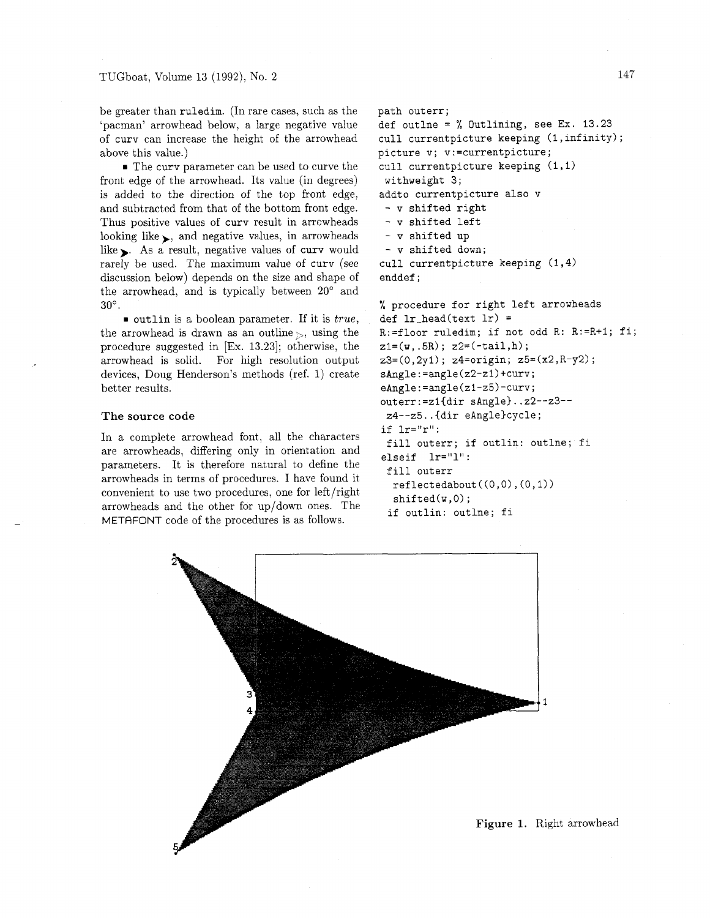be greater than ruledim. (In rare cases, such as the 'pacman' arrowhead below, a large negative value of curv can increase the height of the arrowhead above this value.)

The curv parameter can be used to curve the front edge of the arrowhead. Its value (in degrees) is added to the direction of the top front edge, and subtracted from that of the bottom front edge. Thus positive values of curv result in arrcwheads looking like  $\Box$ , and negative values, in arrowheads like  $\blacktriangleright$ . As a result, negative values of curv would rarely be used. The maximum value of curv (see discussion below) depends on the size and shape of the arrowhead, and is typically between  $20^{\circ}$  and  $30^\circ$ .

outlin is a boolean parameter. If it is *true,*  the arrowhead is drawn as an outline  $\gtrsim$ , using the procedure suggested in [Ex. 13.231; otherwise, the arrowhead is solid. For high resolution output devices, Doug Henderson's methods (ref. 1) create better results.

#### The source code

In a complete arrowhead font, all the characters are arrowheads, differing only in orientation and parameters. It is therefore natural to define the arrowheads in terms of procedures. I have found it convenient to use two procedures, one for left/right arrowheads and the other for up/down ones. The METAFONT code of the procedures is as follows.

```
path outerr; 
def outlne = \% Outlining, see Ex. 13.23
cull currentpicture keeping (1,infinity); 
picture v; v:=currentpicture; 
cull currentpicture keeping (1,l) 
 withweight 3; 
addto currentpicture also v 
 - v shifted right 
 - v shifted left 
 - v shifted up 
 - v shifted down; 
cull currentpicture keeping (1,4) 
enddef ;
```
% procedure for right left arrowheads def  $lr_{\text{head}}(text 1r)$  = R:=floor ruledim; if not odd R: R:=R+1; fi;  $z1=(w, .5R); z2=(-tail,h);$  $z3=(0,2y1); z4=origin; z5=(x2,R-y2);$ **sAngle:=angle(z2-zl)+curv; e~ngle:=angle(zl-25)-curv;**  outerr:=zl(dir sAngle)..z2--23-- 24--z5..{dir eAng1e)cycle; if lr="r": fill outerr; if outlin: outlne; fi elseif lr="l" : fill outerr  $reflectedabout((0,0),(0,1))$  $shifted(w,0);$ 

```
if outlin: outlne; fi
```
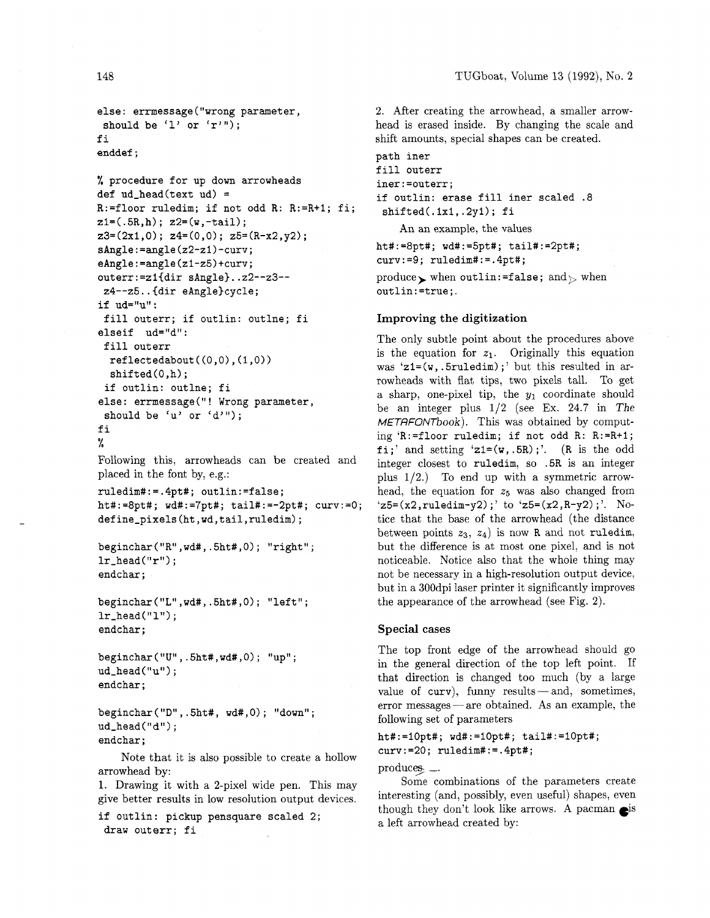```
else: errmessage("wrong parameter, 
should be (1) or (r'');
f i 
enddef ;
```

```
% procedure for up down arrowheads 
def ud_{\text{head}}(text ud) =
R:=floor ruledim; if not odd R: R:=R+I; fi; 
z1 = (.5R,h); z2 = (w, -tail);z3=(2x1,0); z4=(0,0); z5=(R-x2,y2);sAngle:=angle(z2-21)-curv; 
eAngle:=angle(zl-z5)+curv; 
outerr:=zl{dir sAngle)..z2--23-- 
24--z5..{dir eAng1e)cycle; 
if ud="u" : 
 fill outerr; if outlin: outlne; fi 
elseif ud="d":
 fill outerr
  reflectedabout((0,0),(1,0))shifted(0, h);
 if outlin: outlne; fi 
else: errmessage("! Wrong parameter, 
 should be 'u' or 'd'");
11 
I I 
%
```
Following this, arrowheads can be created and placed in the font by, e.g.:

ruledim#:=.4pt#; outlin:=false; ht#:=8pt#; wd#:=7pt#; tail#:=-2pt#; curv:=O; def ine-pixels (ht , wd , tail, ruledim) ;

```
beginchar ("R" ,wd#, .5ht#, 0) ; "right" ; 
lr\_head("r") ;
endchar ;
```

```
beginchar ("L", wdt", .5ht#, 0); "left";lr\_head("l") ;
endchar ;
```

```
beginchar ("U" , .5ht# ,wd#, 0) ; "up" ; 
ud\_head(''u'');
endchar ;
```

```
beginchar ("D", .5ht#, wd#, 0); "down";
ud\_head("d");
endchar ;
```
Note that it is also possible to create a hollow arrowhead by:

1. Drawing it with a 2-pixel wide pen. This may give better results in low resolution output devices.

```
if outlin: pickup pensquare scaled 2; 
draw outerr; fi
```
2. After creating the arrowhead, a smaller arrowhead is erased inside. By changing the scale and shift amounts, special shapes can be created.

```
path iner 
fill outerr 
iner:=outerr; 
if outlin: erase fill iner scaled .8 
 shifted(.lxi,.2yl); fi 
    An an example, the values 
ht#:=8pt#; wd#:=5pt#; tail#:=2pt#; 
curv:=9; ruledim#:=.4pt#; 
produce, when outlin:=false; and \mathcal{P} when
```
outlin:=true;.

## **Improving the digitization**

The only subtle point about the procedures above is the equation for  $z_1$ . Originally this equation was 'z1=(w,.5ruledim);' but this resulted in arrowheads with flat tips, two pixels tall. To get a sharp, one-pixel tip, the  $y_1$  coordinate should be an integer plus  $1/2$  (see Ex. 24.7 in The METAFONTbook). This was obtained by computing 'R:=floor ruledim; if not odd R: R:=R+1; fi;' and setting 'z1= $(w, .5R)$ ;'. (R is the odd integer closest to ruledim, so .5R is an integer plus  $1/2$ .) To end up with a symmetric arrowhead, the equation for *zs* was also changed from  $'z5=(x2, ruledim-y2);' to 'z5=(x2,R-y2);'. No$ tice that the base of the arrowhead (the distance between points  $z_3$ ,  $z_4$ ) is now R and not ruledim, but the difference is at most one pixel, and is not noticeable. Notice also that the whole thing may not be necessary in a high-resolution output device, but in a 300dpi laser printer it significantly improves the appearance of the arrowhead (see Fig. 2).

#### **Special cases**

The top front edge of the arrowhead should go in the general direction of the top left point. If that direction is changed too much (by a large value of  $curv$ ), funny results-and, sometimes, error messages - are obtained. As an example, the following set of parameters

 $ht\#:=10pt\#; wdt:=10pt\#; tail\#:=10pt\#;$  $curv:=20$ ; ruledim#:=.4pt#;

 $produces_2$   $\ldots$ 

Some combinations of the parameters create interesting (and, possibly, even useful) shapes; even though they don't look like arrows. A pacman  $e^{is}$ a left arrowhead created by: